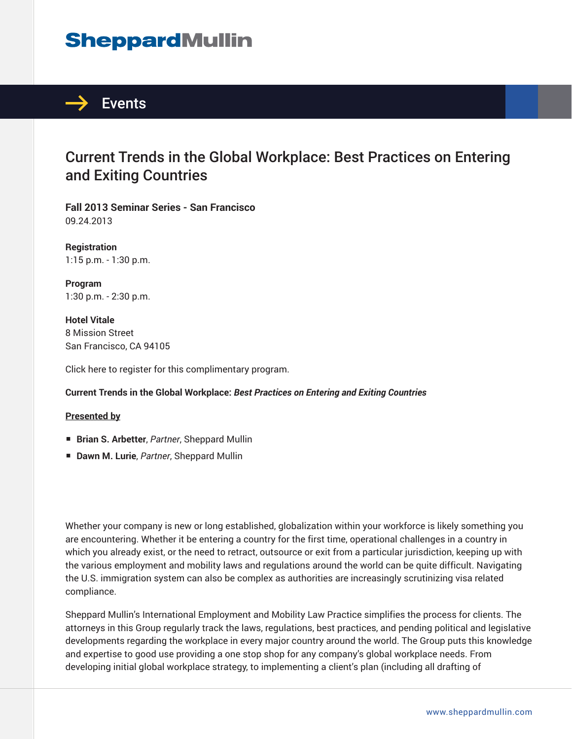# **SheppardMullin**



### Current Trends in the Global Workplace: Best Practices on Entering and Exiting Countries

**Fall 2013 Seminar Series - San Francisco** 09.24.2013

**Registration** 1:15 p.m. - 1:30 p.m.

**Program** 1:30 p.m. - 2:30 p.m.

**Hotel Vitale** 8 Mission Street San Francisco, CA 94105

Click here to register for this complimentary program.

### **Current Trends in the Global Workplace:** *Best Practices on Entering and Exiting Countries*

### **Presented by**

- **Brian S. Arbetter**, *Partner*, Sheppard Mullin
- **Dawn M. Lurie**, *Partner*, Sheppard Mullin

Whether your company is new or long established, globalization within your workforce is likely something you are encountering. Whether it be entering a country for the first time, operational challenges in a country in which you already exist, or the need to retract, outsource or exit from a particular jurisdiction, keeping up with the various employment and mobility laws and regulations around the world can be quite difficult. Navigating the U.S. immigration system can also be complex as authorities are increasingly scrutinizing visa related compliance.

Sheppard Mullin's International Employment and Mobility Law Practice simplifies the process for clients. The attorneys in this Group regularly track the laws, regulations, best practices, and pending political and legislative developments regarding the workplace in every major country around the world. The Group puts this knowledge and expertise to good use providing a one stop shop for any company's global workplace needs. From developing initial global workplace strategy, to implementing a client's plan (including all drafting of